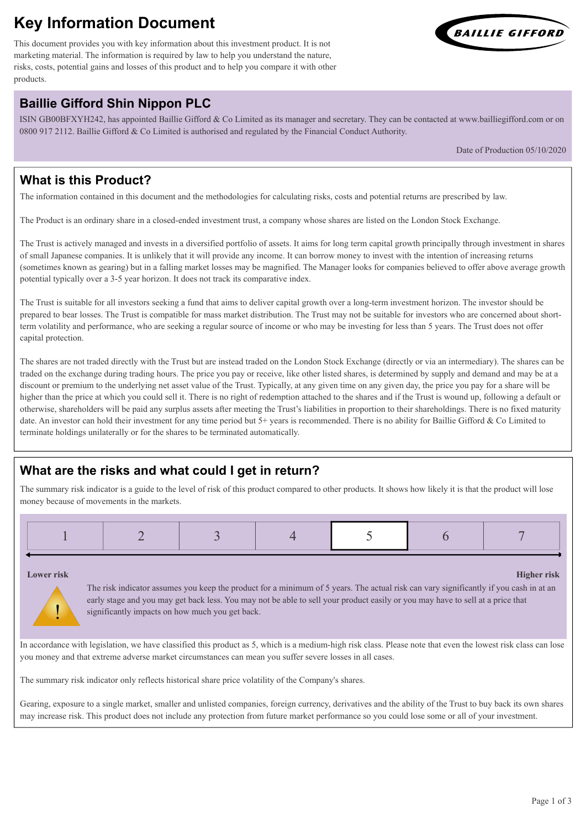# **Key Information Document**

This document provides you with key information about this investment product. It is not marketing material. The information is required by law to help you understand the nature, risks, costs, potential gains and losses of this product and to help you compare it with other products.

# **Baillie Gifford Shin Nippon PLC**

ISIN GB00BFXYH242, has appointed Baillie Gifford & Co Limited as its manager and secretary. They can be contacted at www.bailliegifford.com or on 0800 917 2112. Baillie Gifford & Co Limited is authorised and regulated by the Financial Conduct Authority.

Date of Production 05/10/2020

#### **What is this Product?**

The information contained in this document and the methodologies for calculating risks, costs and potential returns are prescribed by law.

The Product is an ordinary share in a closed-ended investment trust, a company whose shares are listed on the London Stock Exchange.

The Trust is actively managed and invests in a diversified portfolio of assets. It aims for long term capital growth principally through investment in shares of small Japanese companies. It is unlikely that it will provide any income. It can borrow money to invest with the intention of increasing returns (sometimes known as gearing) but in a falling market losses may be magnified. The Manager looks for companies believed to offer above average growth potential typically over a 3-5 year horizon. It does not track its comparative index.

The Trust is suitable for all investors seeking a fund that aims to deliver capital growth over a long-term investment horizon. The investor should be prepared to bear losses. The Trust is compatible for mass market distribution. The Trust may not be suitable for investors who are concerned about shortterm volatility and performance, who are seeking a regular source of income or who may be investing for less than 5 years. The Trust does not offer capital protection.

The shares are not traded directly with the Trust but are instead traded on the London Stock Exchange (directly or via an intermediary). The shares can be traded on the exchange during trading hours. The price you pay or receive, like other listed shares, is determined by supply and demand and may be at a discount or premium to the underlying net asset value of the Trust. Typically, at any given time on any given day, the price you pay for a share will be higher than the price at which you could sell it. There is no right of redemption attached to the shares and if the Trust is wound up, following a default or otherwise, shareholders will be paid any surplus assets after meeting the Trust's liabilities in proportion to their shareholdings. There is no fixed maturity date. An investor can hold their investment for any time period but 5+ years is recommended. There is no ability for Baillie Gifford & Co Limited to terminate holdings unilaterally or for the shares to be terminated automatically.

## **What are the risks and what could I get in return?**

The summary risk indicator is a guide to the level of risk of this product compared to other products. It shows how likely it is that the product will lose money because of movements in the markets.

|  | $\mathcal{L}^{\text{max}}_{\text{max}}$ and $\mathcal{L}^{\text{max}}_{\text{max}}$ and $\mathcal{L}^{\text{max}}_{\text{max}}$<br>$\mathcal{L}^{\text{max}}_{\text{max}}$ and $\mathcal{L}^{\text{max}}_{\text{max}}$ and $\mathcal{L}^{\text{max}}_{\text{max}}$<br><b>CONTRACTOR</b> |
|--|-----------------------------------------------------------------------------------------------------------------------------------------------------------------------------------------------------------------------------------------------------------------------------------------|
|--|-----------------------------------------------------------------------------------------------------------------------------------------------------------------------------------------------------------------------------------------------------------------------------------------|

#### **Lower risk Higher risk**

!

The risk indicator assumes you keep the product for a minimum of 5 years. The actual risk can vary significantly if you cash in at an early stage and you may get back less. You may not be able to sell your product easily or you may have to sell at a price that significantly impacts on how much you get back.

In accordance with legislation, we have classified this product as 5, which is a medium-high risk class. Please note that even the lowest risk class can lose you money and that extreme adverse market circumstances can mean you suffer severe losses in all cases.

The summary risk indicator only reflects historical share price volatility of the Company's shares.

Gearing, exposure to a single market, smaller and unlisted companies, foreign currency, derivatives and the ability of the Trust to buy back its own shares may increase risk. This product does not include any protection from future market performance so you could lose some or all of your investment.

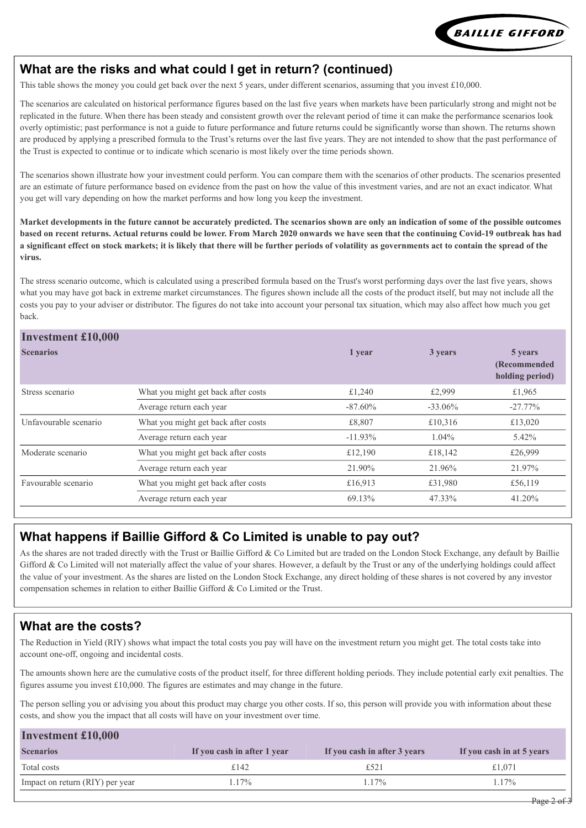

#### **What are the risks and what could I get in return? (continued)**

This table shows the money you could get back over the next 5 years, under different scenarios, assuming that you invest £10,000.

The scenarios are calculated on historical performance figures based on the last five years when markets have been particularly strong and might not be replicated in the future. When there has been steady and consistent growth over the relevant period of time it can make the performance scenarios look overly optimistic; past performance is not a guide to future performance and future returns could be significantly worse than shown. The returns shown are produced by applying a prescribed formula to the Trust's returns over the last five years. They are not intended to show that the past performance of the Trust is expected to continue or to indicate which scenario is most likely over the time periods shown.

The scenarios shown illustrate how your investment could perform. You can compare them with the scenarios of other products. The scenarios presented are an estimate of future performance based on evidence from the past on how the value of this investment varies, and are not an exact indicator. What you get will vary depending on how the market performs and how long you keep the investment.

**Market developments in the future cannot be accurately predicted. The scenarios shown are only an indication of some of the possible outcomes based on recent returns. Actual returns could be lower. From March 2020 onwards we have seen that the continuing Covid-19 outbreak has had a significant effect on stock markets; it is likely that there will be further periods of volatility as governments act to contain the spread of the virus.**

The stress scenario outcome, which is calculated using a prescribed formula based on the Trust's worst performing days over the last five years, shows what you may have got back in extreme market circumstances. The figures shown include all the costs of the product itself, but may not include all the costs you pay to your adviser or distributor. The figures do not take into account your personal tax situation, which may also affect how much you get back.

#### **Investment £10,000**

| <b>IIIVESUMENT LIV, UUU</b> |                                     |            |            |                                             |
|-----------------------------|-------------------------------------|------------|------------|---------------------------------------------|
| <b>Scenarios</b>            |                                     | 1 year     | 3 years    | 5 years<br>(Recommended)<br>holding period) |
| Stress scenario             | What you might get back after costs | £1,240     | £2,999     | £1,965                                      |
|                             | Average return each year            | $-87.60\%$ | $-33.06\%$ | $-27.77\%$                                  |
| Unfavourable scenario       | What you might get back after costs | £8,807     | £10,316    | £13,020                                     |
|                             | Average return each year            | $-11.93\%$ | $1.04\%$   | $5.42\%$                                    |
| Moderate scenario           | What you might get back after costs | £12,190    | £18,142    | £26,999                                     |
|                             | Average return each year            | 21.90%     | 21.96%     | 21.97%                                      |
| Favourable scenario         | What you might get back after costs | £16,913    | £31,980    | £56,119                                     |
|                             | Average return each year            | 69.13%     | 47.33%     | 41.20%                                      |
|                             |                                     |            |            |                                             |

#### **What happens if Baillie Gifford & Co Limited is unable to pay out?**

As the shares are not traded directly with the Trust or Baillie Gifford & Co Limited but are traded on the London Stock Exchange, any default by Baillie Gifford & Co Limited will not materially affect the value of your shares. However, a default by the Trust or any of the underlying holdings could affect the value of your investment. As the shares are listed on the London Stock Exchange, any direct holding of these shares is not covered by any investor compensation schemes in relation to either Baillie Gifford & Co Limited or the Trust.

#### **What are the costs?**

The Reduction in Yield (RIY) shows what impact the total costs you pay will have on the investment return you might get. The total costs take into account one-off, ongoing and incidental costs.

The amounts shown here are the cumulative costs of the product itself, for three different holding periods. They include potential early exit penalties. The figures assume you invest  $£10,000$ . The figures are estimates and may change in the future.

The person selling you or advising you about this product may charge you other costs. If so, this person will provide you with information about these costs, and show you the impact that all costs will have on your investment over time.

| <b>Investment £10,000</b>       |                             |                              |                           |
|---------------------------------|-----------------------------|------------------------------|---------------------------|
| <b>Scenarios</b>                | If you cash in after 1 year | If you cash in after 3 years | If you cash in at 5 years |
| Total costs                     | £142                        | £52.                         | £1.071                    |
| Impact on return (RIY) per year | .17%                        | 17%                          | $.17\%$                   |
|                                 |                             |                              |                           |